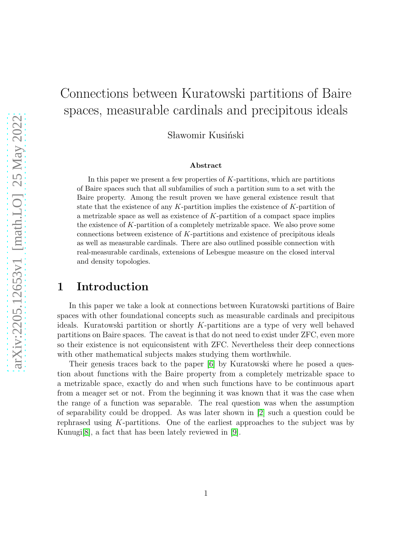# Connections between Kuratowski partitions of Baire spaces, measurable cardinals and precipitous ideals

Sławomir Kusiński

#### Abstract

In this paper we present a few properties of  $K$ -partitions, which are partitions of Baire spaces such that all subfamilies of such a partition sum to a set with the Baire property. Among the result proven we have general existence result that state that the existence of any  $K$ -partition implies the existence of  $K$ -partition of a metrizable space as well as existence of K-partition of a compact space implies the existence of K-partition of a completely metrizable space. We also prove some connections between existence of K-partitions and existence of precipitous ideals as well as measurable cardinals. There are also outlined possible connection with real-measurable cardinals, extensions of Lebesgue measure on the closed interval and density topologies.

### 1 Introduction

In this paper we take a look at connections between Kuratowski partitions of Baire spaces with other foundational concepts such as measurable cardinals and precipitous ideals. Kuratowski partition or shortly K-partitions are a type of very well behaved partitions on Baire spaces. The caveat is that do not need to exist under ZFC, even more so their existence is not equiconsistent with ZFC. Nevertheless their deep connections with other mathematical subjects makes studying them worthwhile.

Their genesis traces back to the paper [\[6\]](#page-7-0) by Kuratowski where he posed a question about functions with the Baire property from a completely metrizable space to a metrizable space, exactly do and when such functions have to be continuous apart from a meager set or not. From the beginning it was known that it was the case when the range of a function was separable. The real question was when the assumption of separability could be dropped. As was later shown in [\[2\]](#page-7-1) such a question could be rephrased using K-partitions. One of the earliest approaches to the subject was by Kunugi[\[8\]](#page-7-2), a fact that has been lately reviewed in [\[9\]](#page-7-3).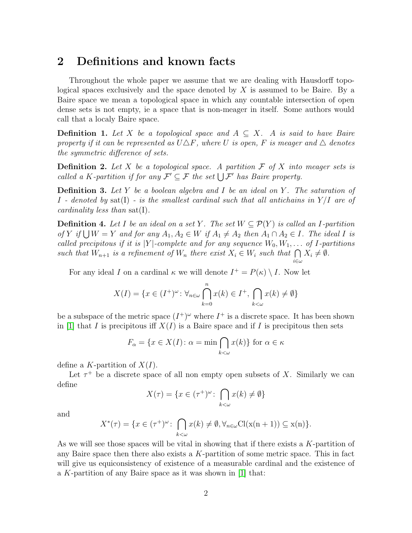## 2 Definitions and known facts

Throughout the whole paper we assume that we are dealing with Hausdorff topological spaces exclusively and the space denoted by X is assumed to be Baire. By a Baire space we mean a topological space in which any countable intersection of open dense sets is not empty, ie a space that is non-meager in itself. Some authors would call that a localy Baire space.

**Definition 1.** Let X be a topological space and  $A \subseteq X$ . A is said to have Baire property if it can be represented as  $U \Delta F$ , where U is open, F is meager and  $\Delta$  denotes the symmetric difference of sets.

**Definition 2.** Let X be a topological space. A partition  $\mathcal F$  of X into meager sets is called a K-partition if for any  $\mathcal{F}' \subseteq \mathcal{F}$  the set  $\bigcup \mathcal{F}'$  has Baire property.

**Definition 3.** Let Y be a boolean algebra and I be an ideal on Y. The saturation of I - denoted by sat(I) - is the smallest cardinal such that all antichains in  $Y/I$  are of cardinality less than sat(I).

**Definition 4.** Let I be an ideal on a set Y. The set  $W \subseteq \mathcal{P}(Y)$  is called an I-partition of Y if  $\bigcup W = Y$  and for any  $A_1, A_2 \in W$  if  $A_1 \neq A_2$  then  $A_1 \cap A_2 \in I$ . The ideal I is called precipitous if it is  $|Y|$ -complete and for any sequence  $W_0, W_1, \ldots$  of I-partitions such that  $W_{n+1}$  is a refinement of  $W_n$  there exist  $X_i \in W_i$  such that  $\bigcap$  $i\in\omega$  $X_i \neq \emptyset$ .

For any ideal I on a cardinal  $\kappa$  we will denote  $I^+ = P(\kappa) \setminus I$ . Now let

$$
X(I) = \{ x \in (I^+)^{\omega} \colon \forall_{n \in \omega} \bigcap_{k=0}^{n} x(k) \in I^+, \bigcap_{k < \omega} x(k) \neq \emptyset \}
$$

be a subspace of the metric space  $(I^{\dagger})^{\omega}$  where  $I^{\dagger}$  is a discrete space. It has been shown in [\[1\]](#page-6-0) that I is precipitous if  $X(I)$  is a Baire space and if I is precipitous then sets

$$
F_{\alpha} = \{ x \in X(I) \colon \alpha = \min \bigcap_{k < \omega} x(k) \} \text{ for } \alpha \in \kappa
$$

define a K-partition of  $X(I)$ .

Let  $\tau^+$  be a discrete space of all non empty open subsets of X. Similarly we can define

$$
X(\tau) = \{ x \in (\tau^+)^\omega \colon \bigcap_{k < \omega} x(k) \neq \emptyset \}
$$

and

$$
X^*(\tau) = \{ x \in (\tau^+)^{\omega} \colon \bigcap_{k < \omega} x(k) \neq \emptyset, \forall_{n \in \omega} \text{Cl}(\mathbf{x}(n+1)) \subseteq \mathbf{x}(n) \}.
$$

As we will see those spaces will be vital in showing that if there exists a  $K$ -partition of any Baire space then there also exists a  $K$ -partition of some metric space. This in fact will give us equiconsistency of existence of a measurable cardinal and the existence of a K-partition of any Baire space as it was shown in  $[1]$  that: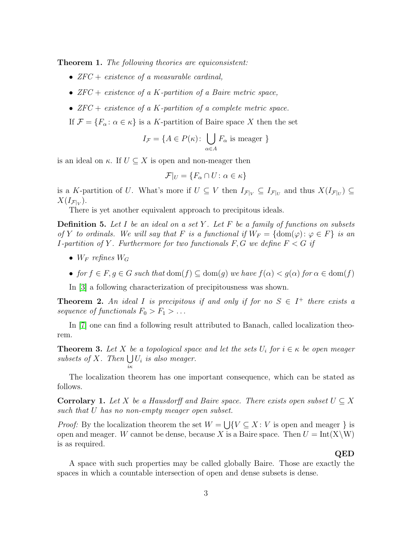**Theorem 1.** The following theories are equiconsistent:

- $ZFC + existence of a measurable cardinal,$
- $ZFC + existence of a K-partition of a Baire metric space,$
- $ZFC + existence$  of a K-partition of a complete metric space.

If  $\mathcal{F} = \{F_{\alpha} : \alpha \in \kappa\}$  is a K-partition of Baire space X then the set

$$
I_{\mathcal{F}} = \{ A \in P(\kappa) : \bigcup_{\alpha \in A} F_{\alpha} \text{ is meager } \}
$$

is an ideal on  $\kappa$ . If  $U \subset X$  is open and non-meager then

$$
\mathcal{F}|_U = \{F_\alpha \cap U \colon \alpha \in \kappa\}
$$

is a K-partition of U. What's more if  $U \subseteq V$  then  $I_{\mathcal{F}|_V} \subseteq I_{\mathcal{F}|_U}$  and thus  $X(I_{\mathcal{F}|_U}) \subseteq$  $X(I_{\mathcal{F}|_V}).$ 

There is yet another equivalent approach to precipitous ideals.

**Definition 5.** Let I be an ideal on a set Y. Let F be a family of functions on subsets of Y to ordinals. We will say that F is a functional if  $W_F = \{dom(\varphi) : \varphi \in F\}$  is an *I*-partition of Y. Furthermore for two functionals  $F, G$  we define  $F < G$  if

- $W_F$  refines  $W_G$
- for  $f \in F, g \in G$  such that  $dom(f) \subseteq dom(g)$  we have  $f(\alpha) < g(\alpha)$  for  $\alpha \in dom(f)$

In [\[3\]](#page-7-4) a following characterization of precipitousness was shown.

**Theorem 2.** An ideal I is precipitous if and only if for no  $S \in I^+$  there exists a sequence of functionals  $F_0 > F_1 > \ldots$ 

In [\[7\]](#page-7-5) one can find a following result attributed to Banach, called localization theorem.

**Theorem 3.** Let X be a topological space and let the sets  $U_i$  for  $i \in \kappa$  be open meager subsets of X. Then  $\bigcup U_i$  is also meager. iκ

The localization theorem has one important consequence, which can be stated as follows.

**Corrolary 1.** Let X be a Hausdorff and Baire space. There exists open subset  $U \subseteq X$ such that U has no non-empty meager open subset.

*Proof:* By the localization theorem the set  $W = \bigcup \{V \subseteq X : V$  is open and meager } is open and meager. W cannot be dense, because X is a Baire space. Then  $U = Int(X\W)$ is as required.

#### QED

A space with such properties may be called globally Baire. Those are exactly the spaces in which a countable intersection of open and dense subsets is dense.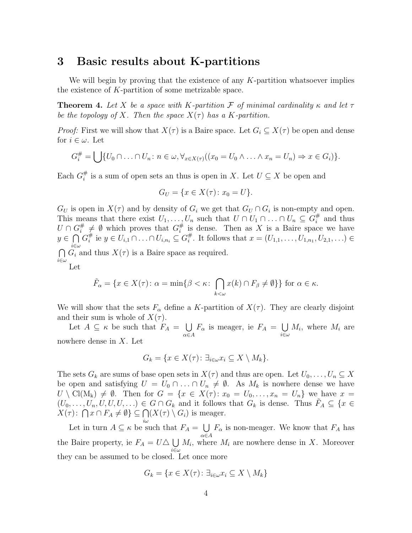### 3 Basic results about K-partitions

We will begin by proving that the existence of any  $K$ -partition whatsoever implies the existence of  $K$ -partition of some metrizable space.

**Theorem 4.** Let X be a space with K-partition F of minimal cardinality  $\kappa$  and let  $\tau$ be the topology of X. Then the space  $X(\tau)$  has a K-partition.

*Proof:* First we will show that  $X(\tau)$  is a Baire space. Let  $G_i \subseteq X(\tau)$  be open and dense for  $i \in \omega$ . Let

$$
G_i^{\#} = \bigcup \{ U_0 \cap \ldots \cap U_n : n \in \omega, \forall_{x \in X(\tau)} ((x_0 = U_0 \land \ldots \land x_n = U_n) \Rightarrow x \in G_i) \}.
$$

Each  $G_i^{\#}$  $\frac{\pi}{i}$  is a sum of open sets an thus is open in X. Let  $U \subseteq X$  be open and

$$
G_U = \{ x \in X(\tau) \colon x_0 = U \}.
$$

 $G_U$  is open in  $X(\tau)$  and by density of  $G_i$  we get that  $G_U \cap G_i$  is non-empty and open. This means that there exist  $U_1, \ldots, U_n$  such that  $U \cap U_1 \cap \ldots \cap U_n \subseteq G_i^{\#}$  $\frac{\pi}{i}$  and thus  $U\cap G_i^\#$  $\frac{\#}{i} \neq \emptyset$  which proves that  $G_i^{\#}$  $\frac{\pi}{i}$  is dense. Then as X is a Baire space we have  $y \in \bigcap$ i∈ω  $G_i^{\#}$ # ie  $y$  ∈  $U_{i,1}$ ∩...∩ $U_{i,n_i}$  ⊆  $G_i^{\#}$ <sup>#</sup>. It follows that  $x = (U_{1,1}, \ldots, U_{1,n_1}, U_{2,1}, \ldots)$  $\bigcap G_i$  and thus  $X(\tau)$  is a Baire space as required.  $i{\in}\omega$ Let

$$
\tilde{F}_{\alpha} = \{ x \in X(\tau) \colon \alpha = \min \{ \beta < \kappa \colon \bigcap_{k < \omega} x(k) \cap F_{\beta} \neq \emptyset \} \} \text{ for } \alpha \in \kappa.
$$

We will show that the sets  $F_{\alpha}$  define a K-partition of  $X(\tau)$ . They are clearly disjoint and their sum is whole of  $X(\tau)$ .

Let  $A \subseteq \kappa$  be such that  $F_A = \bigcup$  $\alpha \in A$  $F_{\alpha}$  is meager, ie  $F_A = \bigcup$  $i\in\omega$  $M_i$ , where  $M_i$  are nowhere dense in X. Let

$$
G_k = \{ x \in X(\tau) \colon \exists_{i \in \omega} x_i \subseteq X \setminus M_k \}.
$$

The sets  $G_k$  are sums of base open sets in  $X(\tau)$  and thus are open. Let  $U_0, \ldots, U_n \subseteq X$ be open and satisfying  $U = U_0 \cap ... \cap U_n \neq \emptyset$ . As  $M_k$  is nowhere dense we have  $U \setminus \text{Cl}(M_k) \neq \emptyset$ . Then for  $G = \{x \in X(\tau): x_0 = U_0, \ldots, x_n = U_n\}$  we have  $x =$  $(U_0, \ldots, U_n, U, U, U, \ldots) \in G \cap G_k$  and it follows that  $G_k$  is dense. Thus  $\tilde{F}_A \subseteq \{x \in$  $X(\tau)$ :  $\bigcap x \cap F_A \neq \emptyset$ }  $\subseteq \bigcap$  $i\omega$  $(X(\tau) \setminus G_i)$  is meager.

Let in turn  $A \subseteq \kappa$  be such that  $F_A = \bigcup$  $\alpha \in A$  $F_{\alpha}$  is non-meager. We know that  $F_A$  has the Baire property, ie  $F_A = U \triangle \bigcup$ i∈ω  $M_i$ , where  $M_i$  are nowhere dense in X. Moreover they can be assumed to be closed. Let once more

$$
G_k = \{ x \in X(\tau) \colon \exists_{i \in \omega} x_i \subseteq X \setminus M_k \}
$$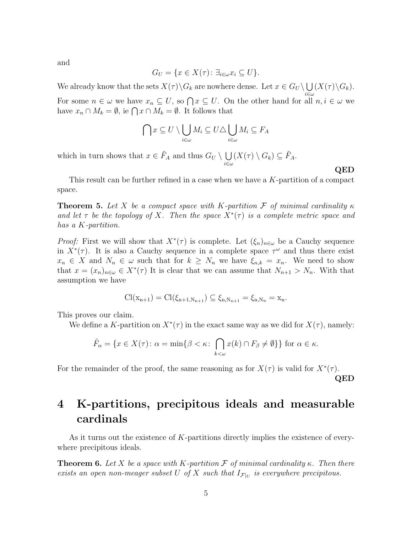and

$$
G_U = \{ x \in X(\tau) \colon \exists_{i \in \omega} x_i \subseteq U \}.
$$

We already know that the sets  $X(\tau) \backslash G_k$  are nowhere dense. Let  $x \in G_U \backslash \bigcup (X(\tau) \backslash G_k)$ .  $i\in\omega$ For some  $n \in \omega$  we have  $x_n \subseteq U$ , so  $\bigcap x \subseteq U$ . On the other hand for all  $n, i \in \omega$  we have  $x_n \cap M_k = \emptyset$ , ie  $\bigcap x \cap M_k = \emptyset$ . It follows that

$$
\bigcap x \subseteq U \setminus \bigcup_{i \in \omega} M_i \subseteq U \triangle \bigcup_{i \in \omega} M_i \subseteq F_A
$$

which in turn shows that  $x \in \tilde{F}_A$  and thus  $G_U \setminus \bigcup$  $i\in\omega$  $(X(\tau) \setminus G_k) \subseteq \tilde{F}_A.$ 

This result can be further refined in a case when we have a K-partition of a compact space.

**Theorem 5.** Let X be a compact space with K-partition F of minimal cardinality  $\kappa$ and let  $\tau$  be the topology of X. Then the space  $X^*(\tau)$  is a complete metric space and has a K-partition.

*Proof:* First we will show that  $X^*(\tau)$  is complete. Let  $(\xi_n)_{n\in\omega}$  be a Cauchy sequence in  $X^*(\tau)$ . It is also a Cauchy sequence in a complete space  $\tau^{\omega}$  and thus there exist  $x_n \in X$  and  $N_n \in \omega$  such that for  $k \geq N_n$  we have  $\xi_{n,k} = x_n$ . We need to show that  $x = (x_n)_{n \in \omega} \in X^*(\tau)$  It is clear that we can assume that  $N_{n+1} > N_n$ . With that assumption we have

$$
Cl(x_{n+1}) = Cl(\xi_{n+1,N_{n+1}}) \subseteq \xi_{n,N_{n+1}} = \xi_{n,N_n} = x_n.
$$

This proves our claim.

We define a K-partition on  $X^*(\tau)$  in the exact same way as we did for  $X(\tau)$ , namely:

$$
\tilde{F}_{\alpha} = \{ x \in X(\tau) \colon \alpha = \min \{ \beta < \kappa \colon \bigcap_{k < \omega} x(k) \cap F_{\beta} \neq \emptyset \} \} \text{ for } \alpha \in \kappa.
$$

For the remainder of the proof, the same reasoning as for  $X(\tau)$  is valid for  $X^*(\tau)$ . QED

## 4 K-partitions, precipitous ideals and measurable cardinals

As it turns out the existence of K-partitions directly implies the existence of everywhere precipitous ideals.

**Theorem 6.** Let X be a space with K-partition F of minimal cardinality  $\kappa$ . Then there exists an open non-meager subset U of X such that  $I_{\mathcal{F}|_U}$  is everywhere precipitous.

QED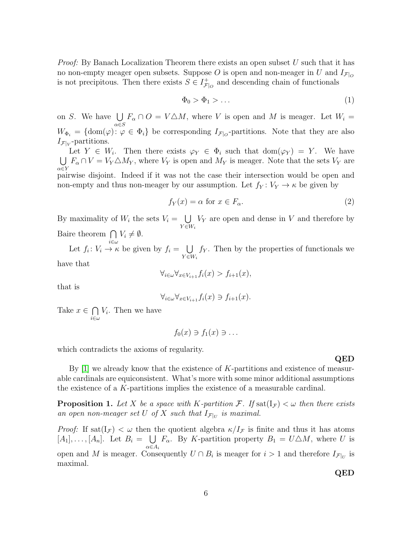*Proof:* By Banach Localization Theorem there exists an open subset  $U$  such that it has no non-empty meager open subsets. Suppose O is open and non-meager in U and  $I_{\mathcal{F}|_O}$ is not precipitous. Then there exists  $S \in I_{\mathcal{F}}^+$  $\mathcal{F}|_{\mathcal{O}}$  and descending chain of functionals

$$
\Phi_0 > \Phi_1 > \dots \tag{1}
$$

on S. We have  $\bigcup$  $_{\alpha\in S}$  $F_{\alpha} \cap O = V \triangle M$ , where V is open and M is meager. Let  $W_i =$  $W_{\Phi_i} = \{ \text{dom}(\varphi) : \varphi \in \Phi_i \}$  be corresponding  $I_{\mathcal{F}|_O}$ -partitions. Note that they are also  $I_{\mathcal{F}|_V}$ -partitions.

Let  $Y \in W_i$ . Then there exists  $\varphi_Y \in \Phi_i$  such that  $dom(\varphi_Y) = Y$ . We have  $\bigcup F_{\alpha} \cap V = V_{Y} \triangle M_{Y}$ , where  $V_{Y}$  is open and  $M_{Y}$  is meager. Note that the sets  $V_{Y}$  are  $\alpha \in Y$ pairwise disjoint. Indeed if it was not the case their intersection would be open and non-empty and thus non-meager by our assumption. Let  $f_Y: V_Y \to \kappa$  be given by

$$
f_Y(x) = \alpha \text{ for } x \in F_\alpha. \tag{2}
$$

By maximality of  $W_i$  the sets  $V_i = \bigcup$  $Y \in W_i$  $V_Y$  are open and dense in V and therefore by Baire theorem  $\bigcap$  $V_i \neq \emptyset$ .

i∈ω

Let  $f_i: V_i \to \kappa$  be given by  $f_i = \bigcup$  $Y \in W_i$  $f<sub>Y</sub>$ . Then by the properties of functionals we have that

 $\forall_{i\in\omega}\forall_{x\in V_{i+1}}f_i(x) > f_{i+1}(x),$ 

that is

$$
\forall_{i \in \omega} \forall_{x \in V_{i+1}} f_i(x) \ni f_{i+1}(x).
$$

Take  $x \in \bigcap$ i∈ω  $V_i$ . Then we have

$$
f_0(x) \ni f_1(x) \ni \ldots
$$

which contradicts the axioms of regularity.

By  $[1]$  we already know that the existence of K-partitions and existence of measurable cardinals are equiconsistent. What's more with some minor additional assumptions the existence of a K-partitions implies the existence of a measurable cardinal.

**Proposition 1.** Let X be a space with K-partition F. If  $\text{sat}(\mathbf{I}_{\mathcal{F}}) < \omega$  then there exists an open non-meager set U of X such that  $I_{\mathcal{F}|_U}$  is maximal.

*Proof:* If sat $(I_{\mathcal{F}}) < \omega$  then the quotient algebra  $\kappa/I_{\mathcal{F}}$  is finite and thus it has atoms  $[A_1], \ldots, [A_n].$  Let  $B_i = \bigcup$  $\alpha \in A_i$  $F_{\alpha}$ . By K-partition property  $B_1 = U \triangle M$ , where U is open and M is meager. Consequently  $U \cap B_i$  is meager for  $i > 1$  and therefore  $I_{\mathcal{F}|_U}$  is maximal.

QED

6

QED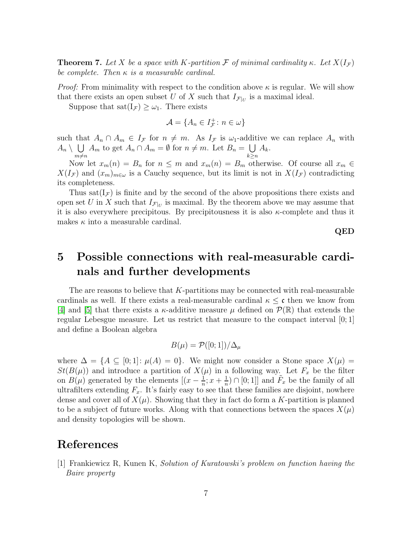**Theorem 7.** Let X be a space with K-partition F of minimal cardinality κ. Let  $X(I_{\mathcal{F}})$ be complete. Then  $\kappa$  is a measurable cardinal.

*Proof:* From minimality with respect to the condition above  $\kappa$  is regular. We will show that there exists an open subset U of X such that  $I_{\mathcal{F}|_U}$  is a maximal ideal.

Suppose that  $\text{sat}(I_{\mathcal{F}}) \geq \omega_1$ . There exists

$$
\mathcal{A} = \{A_n \in I_{\mathcal{F}}^+ : n \in \omega\}
$$

such that  $A_n \cap A_m \in I_{\mathcal{F}}$  for  $n \neq m$ . As  $I_{\mathcal{F}}$  is  $\omega_1$ -additive we can replace  $A_n$  with  $A_n \setminus \ \bigcup$  $m \neq n$  $A_m$  to get  $A_n \cap A_m = \emptyset$  for  $n \neq m$ . Let  $B_n = \bigcup$  $\frac{k\geq n}{k}$  $A_k$ .

Now let  $x_m(n) = B_n$  for  $n \leq m$  and  $x_m(n) = B_m$  otherwise. Of course all  $x_m \in$  $X(I_{\mathcal{F}})$  and  $(x_m)_{m\in\omega}$  is a Cauchy sequence, but its limit is not in  $X(I_{\mathcal{F}})$  contradicting its completeness.

Thus sat( $I<sub>F</sub>$ ) is finite and by the second of the above propositions there exists and open set U in X such that  $I_{\mathcal{F}|U}$  is maximal. By the theorem above we may assume that it is also everywhere precipitous. By precipitousness it is also  $\kappa$ -complete and thus it makes  $\kappa$  into a measurable cardinal.

QED

## 5 Possible connections with real-measurable cardinals and further developments

The are reasons to believe that  $K$ -partitions may be connected with real-measurable cardinals as well. If there exists a real-measurable cardinal  $\kappa \leq c$  then we know from [\[4\]](#page-7-6) and [\[5\]](#page-7-7) that there exists a  $\kappa$ -additive measure  $\mu$  defined on  $\mathcal{P}(\mathbb{R})$  that extends the regular Lebesgue measure. Let us restrict that measure to the compact interval [0; 1] and define a Boolean algebra

$$
B(\mu) = \mathcal{P}([0;1])/\Delta_{\mu}
$$

where  $\Delta = \{A \subseteq [0;1]: \mu(A) = 0\}$ . We might now consider a Stone space  $X(\mu) =$  $St(B(\mu))$  and introduce a partition of  $X(\mu)$  in a following way. Let  $F_x$  be the filter on  $B(\mu)$  generated by the elements  $[(x-\frac{1}{n})]$  $\frac{1}{n}$ ;  $x + \frac{1}{n}$  $\frac{1}{n}$ )  $\cap$  [0; 1]] and  $\tilde{F}_x$  be the family of all ultrafilters extending  $F_x$ . It's fairly easy to see that these families are disjoint, nowhere dense and cover all of  $X(\mu)$ . Showing that they in fact do form a K-partition is planned to be a subject of future works. Along with that connections between the spaces  $X(\mu)$ and density topologies will be shown.

## <span id="page-6-0"></span>References

[1] Frankiewicz R, Kunen K, Solution of Kuratowski's problem on function having the Baire property